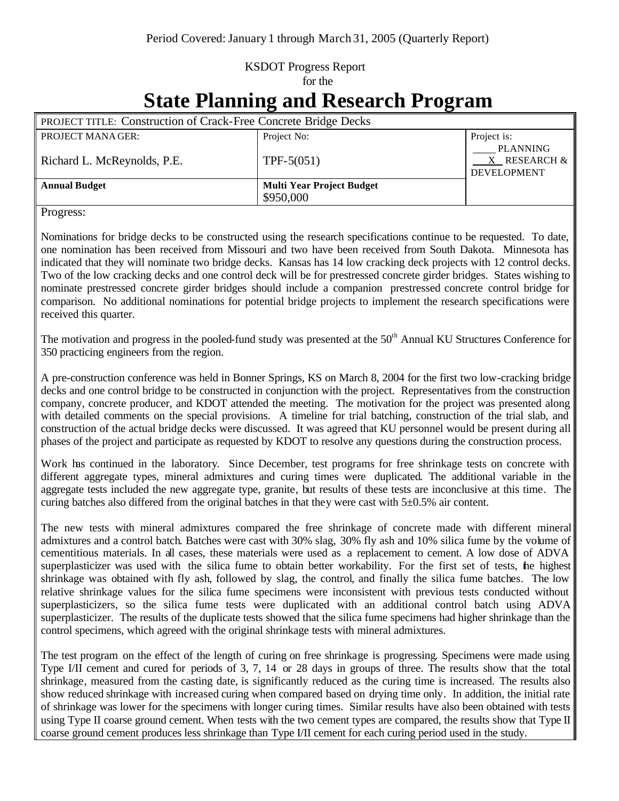## KSDOT Progress Report for the

## **State Planning and Research Program**

| <b>PROJECT TITLE: Construction of Crack-Free Concrete Bridge Decks</b> |                                    |
|------------------------------------------------------------------------|------------------------------------|
| Project No:                                                            | Project is:<br><b>PLANNING</b>     |
| TPF-5 $(051)$                                                          | X RESEARCH &<br><b>DEVELOPMENT</b> |
| <b>Multi Year Project Budget</b><br>\$950,000                          |                                    |
|                                                                        |                                    |

Progress:

Nominations for bridge decks to be constructed using the research specifications continue to be requested. To date, one nomination has been received from Missouri and two have been received from South Dakota. Minnesota has indicated that they will nominate two bridge decks. Kansas has 14 low cracking deck projects with 12 control decks. Two of the low cracking decks and one control deck will be for prestressed concrete girder bridges. States wishing to nominate prestressed concrete girder bridges should include a companion prestressed concrete control bridge for comparison. No additional nominations for potential bridge projects to implement the research specifications were received this quarter.

The motivation and progress in the pooled-fund study was presented at the  $50<sup>th</sup>$  Annual KU Structures Conference for 350 practicing engineers from the region.

A pre-construction conference was held in Bonner Springs, KS on March 8, 2004 for the first two low-cracking bridge decks and one control bridge to be constructed in conjunction with the project. Representatives from the construction company, concrete producer, and KDOT attended the meeting. The motivation for the project was presented along with detailed comments on the special provisions. A timeline for trial batching, construction of the trial slab, and construction of the actual bridge decks were discussed. It was agreed that KU personnel would be present during all phases of the project and participate as requested by KDOT to resolve any questions during the construction process.

Work has continued in the laboratory. Since December, test programs for free shrinkage tests on concrete with different aggregate types, mineral admixtures and curing times were duplicated. The additional variable in the aggregate tests included the new aggregate type, granite, but results of these tests are inconclusive at this time. The curing batches also differed from the original batches in that they were cast with  $5\pm0.5\%$  air content.

The new tests with mineral admixtures compared the free shrinkage of concrete made with different mineral admixtures and a control batch. Batches were cast with 30% slag, 30% fly ash and 10% silica fume by the volume of cementitious materials. In all cases, these materials were used as a replacement to cement. A low dose of ADVA superplasticizer was used with the silica fume to obtain better workability. For the first set of tests, the highest shrinkage was obtained with fly ash, followed by slag, the control, and finally the silica fume batches. The low relative shrinkage values for the silica fume specimens were inconsistent with previous tests conducted without superplasticizers, so the silica fume tests were duplicated with an additional control batch using ADVA superplasticizer. The results of the duplicate tests showed that the silica fume specimens had higher shrinkage than the control specimens, which agreed with the original shrinkage tests with mineral admixtures.

The test program on the effect of the length of curing on free shrinkage is progressing. Specimens were made using Type I/II cement and cured for periods of 3, 7, 14 or 28 days in groups of three. The results show that the total shrinkage, measured from the casting date, is significantly reduced as the curing time is increased. The results also show reduced shrinkage with increased curing when compared based on drying time only. In addition, the initial rate of shrinkage was lower for the specimens with longer curing times. Similar results have also been obtained with tests using Type II coarse ground cement. When tests with the two cement types are compared, the results show that Type II coarse ground cement produces less shrinkage than Type I/II cement for each curing period used in the study.